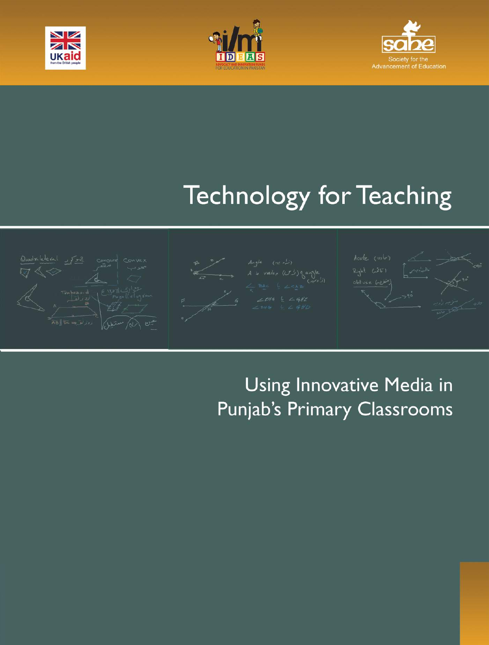





# **Technology for Teaching**











# Using Innovative Media in Punjab's Primary Classrooms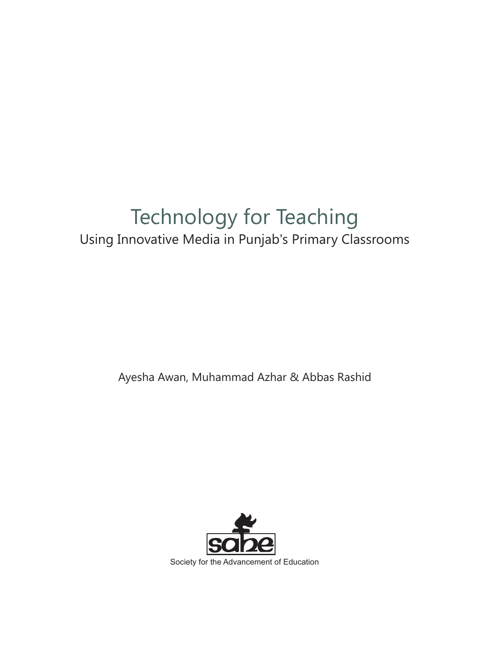# Technology for Teaching Using Innovative Media in Punjab's Primary Classrooms

Ayesha Awan, Muhammad Azhar & Abbas Rashid

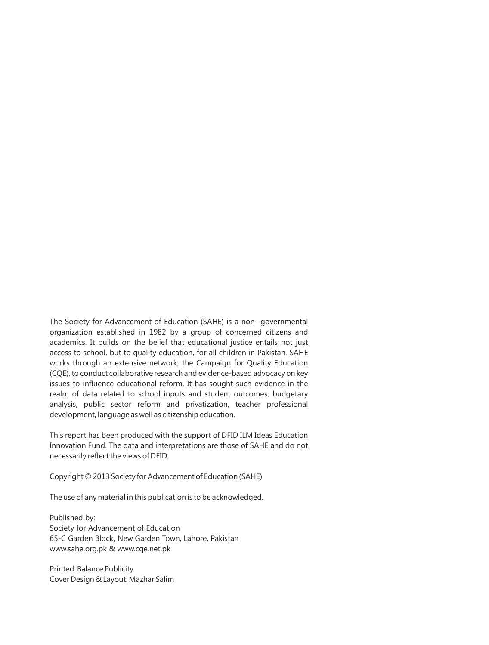The Society for Advancement of Education (SAHE) is a non- governmental organization established in 1982 by a group of concerned citizens and academics. It builds on the belief that educational justice entails not just access to school, but to quality education, for all children in Pakistan. SAHE works through an extensive network, the Campaign for Quality Education (CQE), to conduct collaborative research and evidence-based advocacy on key issues to influence educational reform. It has sought such evidence in the realm of data related to school inputs and student outcomes, budgetary analysis, public sector reform and privatization, teacher professional development, language as well as citizenship education.

This report has been produced with the support of DFID ILM Ideas Education Innovation Fund. The data and interpretations are those of SAHE and do not necessarily reflect the views of DFID.

Copyright © 2013 Society for Advancement of Education (SAHE)

The use of any material in this publication is to be acknowledged.

Published by: Society for Advancement of Education 65-C Garden Block, New Garden Town, Lahore, Pakistan www.sahe.org.pk & www.cqe.net.pk

Printed: Balance Publicity Cover Design & Layout: Mazhar Salim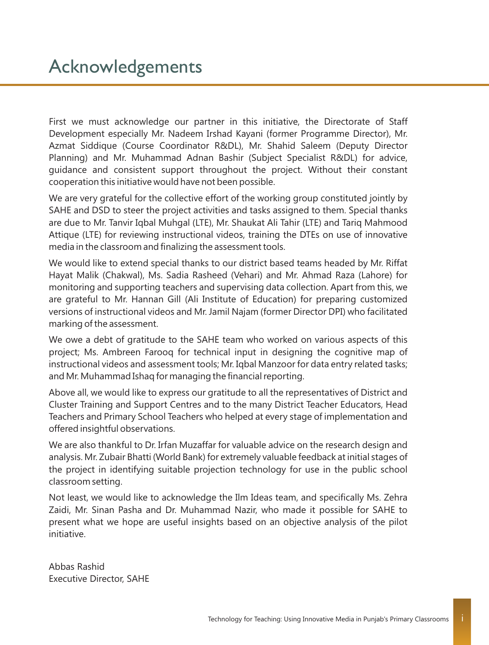First we must acknowledge our partner in this initiative, the Directorate of Staff Development especially Mr. Nadeem Irshad Kayani (former Programme Director), Mr. Azmat Siddique (Course Coordinator R&DL), Mr. Shahid Saleem (Deputy Director Planning) and Mr. Muhammad Adnan Bashir (Subject Specialist R&DL) for advice, guidance and consistent support throughout the project. Without their constant cooperation this initiative would have not been possible.

We are very grateful for the collective effort of the working group constituted jointly by SAHE and DSD to steer the project activities and tasks assigned to them. Special thanks are due to Mr. Tanvir Iqbal Muhgal (LTE), Mr. Shaukat Ali Tahir (LTE) and Tariq Mahmood Attique (LTE) for reviewing instructional videos, training the DTEs on use of innovative media in the classroom and finalizing the assessment tools.

We would like to extend special thanks to our district based teams headed by Mr. Riffat Hayat Malik (Chakwal), Ms. Sadia Rasheed (Vehari) and Mr. Ahmad Raza (Lahore) for monitoring and supporting teachers and supervising data collection. Apart from this, we are grateful to Mr. Hannan Gill (Ali Institute of Education) for preparing customized versions of instructional videos and Mr. Jamil Najam (former Director DPI) who facilitated marking of the assessment.

We owe a debt of gratitude to the SAHE team who worked on various aspects of this project; Ms. Ambreen Farooq for technical input in designing the cognitive map of instructional videos and assessment tools; Mr. Iqbal Manzoor for data entry related tasks; and Mr. Muhammad Ishaq for managing the financial reporting.

Above all, we would like to express our gratitude to all the representatives of District and Cluster Training and Support Centres and to the many District Teacher Educators, Head Teachers and Primary School Teachers who helped at every stage of implementation and offered insightful observations.

We are also thankful to Dr. Irfan Muzaffar for valuable advice on the research design and analysis. Mr. Zubair Bhatti (World Bank) for extremely valuable feedback at initial stages of the project in identifying suitable projection technology for use in the public school classroom setting.

Not least, we would like to acknowledge the Ilm Ideas team, and specifically Ms. Zehra Zaidi, Mr. Sinan Pasha and Dr. Muhammad Nazir, who made it possible for SAHE to present what we hope are useful insights based on an objective analysis of the pilot initiative.

Abbas Rashid Executive Director, SAHE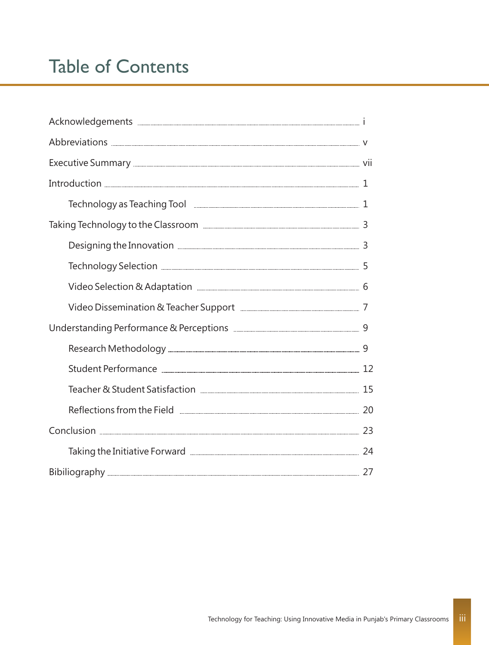# Table of Contents

| Technology as Teaching Tool <b>Engineer Contract Contract Contract Contract Contract Contract Contract Contract Contract Contract Contract Contract Contract Contract Contract Contract Contract Contract Contract Contract Cont</b> |  |
|--------------------------------------------------------------------------------------------------------------------------------------------------------------------------------------------------------------------------------------|--|
|                                                                                                                                                                                                                                      |  |
|                                                                                                                                                                                                                                      |  |
|                                                                                                                                                                                                                                      |  |
| Video Selection & Adaptation <b>[19] Marion</b> 6                                                                                                                                                                                    |  |
|                                                                                                                                                                                                                                      |  |
|                                                                                                                                                                                                                                      |  |
|                                                                                                                                                                                                                                      |  |
|                                                                                                                                                                                                                                      |  |
|                                                                                                                                                                                                                                      |  |
|                                                                                                                                                                                                                                      |  |
|                                                                                                                                                                                                                                      |  |
|                                                                                                                                                                                                                                      |  |
|                                                                                                                                                                                                                                      |  |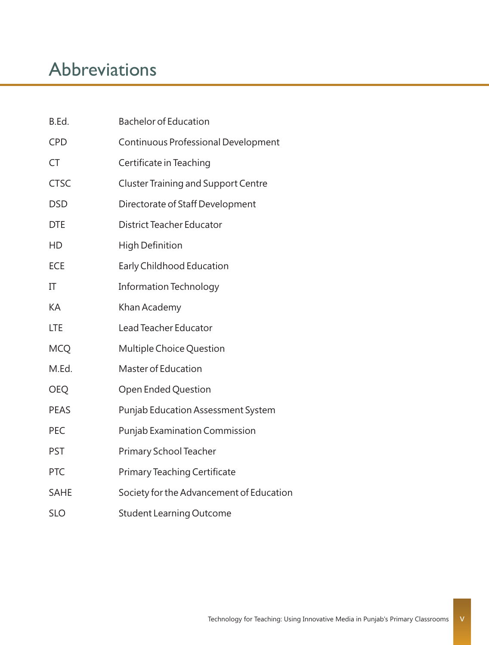# Abbreviations

| B.Ed.       | Bachelor of Education                      |
|-------------|--------------------------------------------|
| <b>CPD</b>  | Continuous Professional Development        |
| СT          | Certificate in Teaching                    |
| <b>CTSC</b> | <b>Cluster Training and Support Centre</b> |
| <b>DSD</b>  | Directorate of Staff Development           |
| <b>DTE</b>  | District Teacher Educator                  |
| HD          | High Definition                            |
| ECE         | Early Childhood Education                  |
| ΙT          | <b>Information Technology</b>              |
| KА          | Khan Academy                               |
| LTE         | Lead Teacher Educator                      |
| <b>MCQ</b>  | Multiple Choice Question                   |
| M.Ed.       | Master of Education                        |
| OEQ         | Open Ended Question                        |
| <b>PEAS</b> | Punjab Education Assessment System         |
| PEC         | Punjab Examination Commission              |
| <b>PST</b>  | Primary School Teacher                     |
| PTC         | <b>Primary Teaching Certificate</b>        |
| SAHE        | Society for the Advancement of Education   |
| SLO         | <b>Student Learning Outcome</b>            |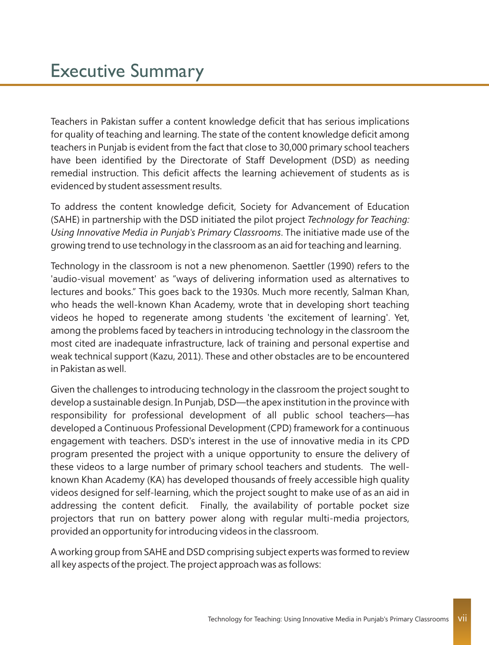Teachers in Pakistan suffer a content knowledge deficit that has serious implications for quality of teaching and learning. The state of the content knowledge deficit among teachers in Punjab is evident from the fact that close to 30,000 primary school teachers have been identified by the Directorate of Staff Development (DSD) as needing remedial instruction. This deficit affects the learning achievement of students as is evidenced by student assessment results.

To address the content knowledge deficit, Society for Advancement of Education (SAHE) in partnership with the DSD initiated the pilot project *Technology for Teaching: Using Innovative Media in Punjab's Primary Classrooms*. The initiative made use of the growing trend to use technology in the classroom as an aid for teaching and learning.

Technology in the classroom is not a new phenomenon. Saettler (1990) refers to the 'audio-visual movement' as "ways of delivering information used as alternatives to lectures and books." This goes back to the 1930s. Much more recently, Salman Khan, who heads the well-known Khan Academy, wrote that in developing short teaching videos he hoped to regenerate among students 'the excitement of learning'. Yet, among the problems faced by teachers in introducing technology in the classroom the most cited are inadequate infrastructure, lack of training and personal expertise and weak technical support (Kazu, 2011). These and other obstacles are to be encountered in Pakistan as well.

Given the challenges to introducing technology in the classroom the project sought to develop a sustainable design. In Punjab, DSD—the apex institution in the province with responsibility for professional development of all public school teachers—has developed a Continuous Professional Development (CPD) framework for a continuous engagement with teachers. DSD's interest in the use of innovative media in its CPD program presented the project with a unique opportunity to ensure the delivery of these videos to a large number of primary school teachers and students. The wellknown Khan Academy (KA) has developed thousands of freely accessible high quality videos designed for self-learning, which the project sought to make use of as an aid in addressing the content deficit. Finally, the availability of portable pocket size projectors that run on battery power along with regular multi-media projectors, provided an opportunity for introducing videos in the classroom.

A working group from SAHE and DSD comprising subject experts was formed to review all key aspects of the project. The project approach was as follows: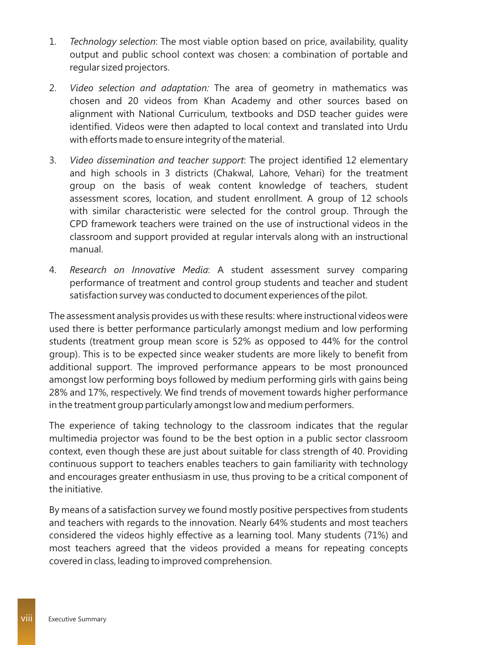- 1. *Technology selection*: The most viable option based on price, availability, quality output and public school context was chosen: a combination of portable and regular sized projectors.
- 2. *Video selection and adaptation:* The area of geometry in mathematics was chosen and 20 videos from Khan Academy and other sources based on alignment with National Curriculum, textbooks and DSD teacher guides were identified. Videos were then adapted to local context and translated into Urdu with efforts made to ensure integrity of the material.
- 3. *Video dissemination and teacher support*: The project identified 12 elementary and high schools in 3 districts (Chakwal, Lahore, Vehari) for the treatment group on the basis of weak content knowledge of teachers, student assessment scores, location, and student enrollment. A group of 12 schools with similar characteristic were selected for the control group. Through the CPD framework teachers were trained on the use of instructional videos in the classroom and support provided at regular intervals along with an instructional manual.
- 4. *Research on Innovative Media*: A student assessment survey comparing performance of treatment and control group students and teacher and student satisfaction survey was conducted to document experiences of the pilot.

The assessment analysis provides us with these results: where instructional videos were used there is better performance particularly amongst medium and low performing students (treatment group mean score is 52% as opposed to 44% for the control group). This is to be expected since weaker students are more likely to benefit from additional support. The improved performance appears to be most pronounced amongst low performing boys followed by medium performing girls with gains being 28% and 17%, respectively. We find trends of movement towards higher performance in the treatment group particularly amongst low and medium performers.

The experience of taking technology to the classroom indicates that the regular multimedia projector was found to be the best option in a public sector classroom context, even though these are just about suitable for class strength of 40. Providing continuous support to teachers enables teachers to gain familiarity with technology and encourages greater enthusiasm in use, thus proving to be a critical component of the initiative.

By means of a satisfaction survey we found mostly positive perspectives from students and teachers with regards to the innovation. Nearly 64% students and most teachers considered the videos highly effective as a learning tool. Many students (71%) and most teachers agreed that the videos provided a means for repeating concepts covered in class, leading to improved comprehension.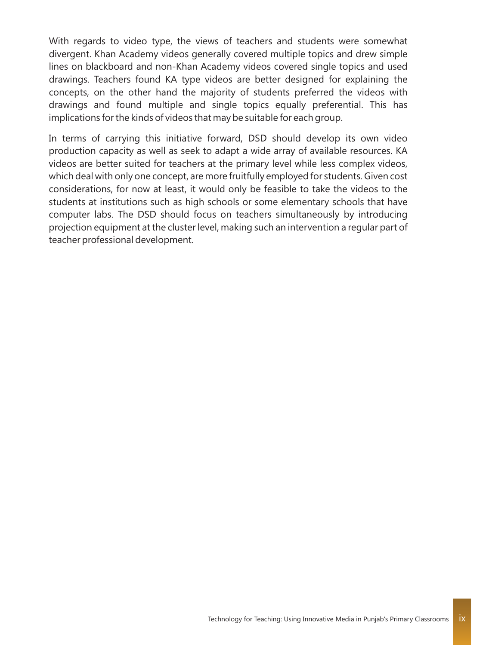With regards to video type, the views of teachers and students were somewhat divergent. Khan Academy videos generally covered multiple topics and drew simple lines on blackboard and non-Khan Academy videos covered single topics and used drawings. Teachers found KA type videos are better designed for explaining the concepts, on the other hand the majority of students preferred the videos with drawings and found multiple and single topics equally preferential. This has implications for the kinds of videos that may be suitable for each group.

In terms of carrying this initiative forward, DSD should develop its own video production capacity as well as seek to adapt a wide array of available resources. KA videos are better suited for teachers at the primary level while less complex videos, which deal with only one concept, are more fruitfully employed for students. Given cost considerations, for now at least, it would only be feasible to take the videos to the students at institutions such as high schools or some elementary schools that have computer labs. The DSD should focus on teachers simultaneously by introducing projection equipment at the cluster level, making such an intervention a regular part of teacher professional development.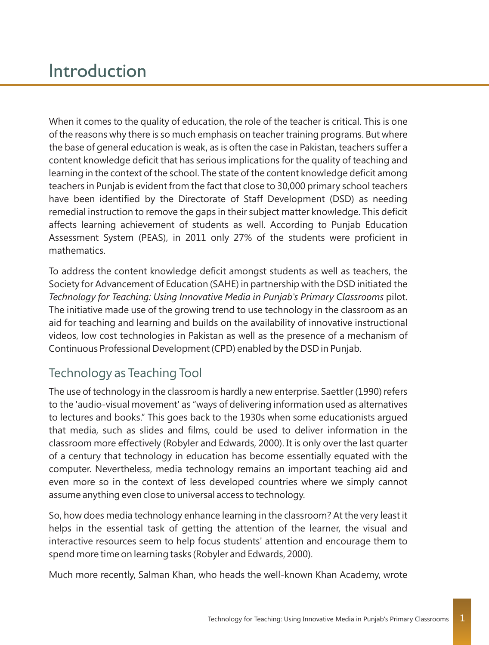# Introduction

When it comes to the quality of education, the role of the teacher is critical. This is one of the reasons why there is so much emphasis on teacher training programs. But where the base of general education is weak, as is often the case in Pakistan, teachers suffer a content knowledge deficit that has serious implications for the quality of teaching and learning in the context of the school. The state of the content knowledge deficit among teachers in Punjab is evident from the fact that close to 30,000 primary school teachers have been identified by the Directorate of Staff Development (DSD) as needing remedial instruction to remove the gaps in their subject matter knowledge. This deficit affects learning achievement of students as well. According to Punjab Education Assessment System (PEAS), in 2011 only 27% of the students were proficient in mathematics.

To address the content knowledge deficit amongst students as well as teachers, the Society for Advancement of Education (SAHE) in partnership with the DSD initiated the *Technology for Teaching: Using Innovative Media in Punjab's Primary Classrooms* pilot. The initiative made use of the growing trend to use technology in the classroom as an aid for teaching and learning and builds on the availability of innovative instructional videos, low cost technologies in Pakistan as well as the presence of a mechanism of Continuous Professional Development (CPD) enabled by the DSD in Punjab.

### Technology as Teaching Tool

The use of technology in the classroom is hardly a new enterprise. Saettler (1990) refers to the 'audio-visual movement' as "ways of delivering information used as alternatives to lectures and books." This goes back to the 1930s when some educationists argued that media, such as slides and films, could be used to deliver information in the classroom more effectively (Robyler and Edwards, 2000). It is only over the last quarter of a century that technology in education has become essentially equated with the computer. Nevertheless, media technology remains an important teaching aid and even more so in the context of less developed countries where we simply cannot assume anything even close to universal access to technology.

So, how does media technology enhance learning in the classroom? At the very least it helps in the essential task of getting the attention of the learner, the visual and interactive resources seem to help focus students' attention and encourage them to spend more time on learning tasks (Robyler and Edwards, 2000).

Much more recently, Salman Khan, who heads the well-known Khan Academy, wrote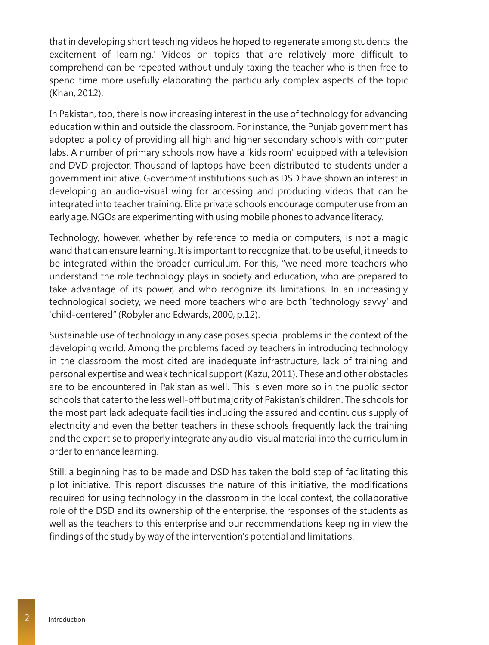that in developing short teaching videos he hoped to regenerate among students 'the excitement of learning.' Videos on topics that are relatively more difficult to comprehend can be repeated without unduly taxing the teacher who is then free to spend time more usefully elaborating the particularly complex aspects of the topic (Khan, 2012).

In Pakistan, too, there is now increasing interest in the use of technology for advancing education within and outside the classroom. For instance, the Punjab government has adopted a policy of providing all high and higher secondary schools with computer labs. A number of primary schools now have a 'kids room' equipped with a television and DVD projector. Thousand of laptops have been distributed to students under a government initiative. Government institutions such as DSD have shown an interest in developing an audio-visual wing for accessing and producing videos that can be integrated into teacher training. Elite private schools encourage computer use from an early age. NGOs are experimenting with using mobile phones to advance literacy.

Technology, however, whether by reference to media or computers, is not a magic wand that can ensure learning. It is important to recognize that, to be useful, it needs to be integrated within the broader curriculum. For this, "we need more teachers who understand the role technology plays in society and education, who are prepared to take advantage of its power, and who recognize its limitations. In an increasingly technological society, we need more teachers who are both 'technology savvy' and 'child-centered" (Robyler and Edwards, 2000, p.12).

Sustainable use of technology in any case poses special problems in the context of the developing world. Among the problems faced by teachers in introducing technology in the classroom the most cited are inadequate infrastructure, lack of training and personal expertise and weak technical support (Kazu, 2011). These and other obstacles are to be encountered in Pakistan as well. This is even more so in the public sector schools that cater to the less well-off but majority of Pakistan's children. The schools for the most part lack adequate facilities including the assured and continuous supply of electricity and even the better teachers in these schools frequently lack the training and the expertise to properly integrate any audio-visual material into the curriculum in order to enhance learning.

Still, a beginning has to be made and DSD has taken the bold step of facilitating this pilot initiative. This report discusses the nature of this initiative, the modifications required for using technology in the classroom in the local context, the collaborative role of the DSD and its ownership of the enterprise, the responses of the students as well as the teachers to this enterprise and our recommendations keeping in view the findings of the study by way of the intervention's potential and limitations.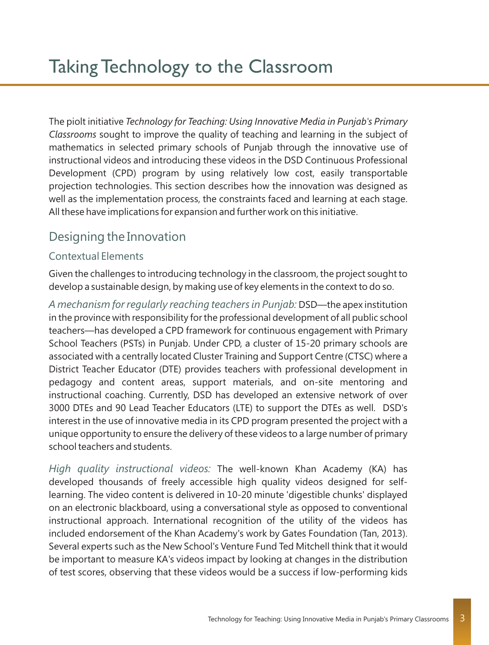The piolt initiative *Technology for Teaching: Using Innovative Media in Punjab's Primary Classrooms* sought to improve the quality of teaching and learning in the subject of mathematics in selected primary schools of Punjab through the innovative use of instructional videos and introducing these videos in the DSD Continuous Professional Development (CPD) program by using relatively low cost, easily transportable projection technologies. This section describes how the innovation was designed as well as the implementation process, the constraints faced and learning at each stage. All these have implications for expansion and further work on this initiative.

# Designing the Innovation

#### Contextual Elements

Given the challenges to introducing technology in the classroom, the project sought to develop a sustainable design, by making use of key elements in the context to do so.

A mechanism for regularly reaching teachers in Punjab: DSD—the apex institution in the province with responsibility for the professional development of all public school teachers—has developed a CPD framework for continuous engagement with Primary School Teachers (PSTs) in Punjab. Under CPD, a cluster of 15-20 primary schools are associated with a centrally located Cluster Training and Support Centre (CTSC) where a District Teacher Educator (DTE) provides teachers with professional development in pedagogy and content areas, support materials, and on-site mentoring and instructional coaching. Currently, DSD has developed an extensive network of over 3000 DTEs and 90 Lead Teacher Educators (LTE) to support the DTEs as well. DSD's interest in the use of innovative media in its CPD program presented the project with a unique opportunity to ensure the delivery of these videos to a large number of primary school teachers and students.

High quality instructional videos: The well-known Khan Academy (KA) has developed thousands of freely accessible high quality videos designed for selflearning. The video content is delivered in 10-20 minute 'digestible chunks' displayed on an electronic blackboard, using a conversational style as opposed to conventional instructional approach. International recognition of the utility of the videos has included endorsement of the Khan Academy's work by Gates Foundation (Tan, 2013). Several experts such as the New School's Venture Fund Ted Mitchell think that it would be important to measure KA's videos impact by looking at changes in the distribution of test scores, observing that these videos would be a success if low-performing kids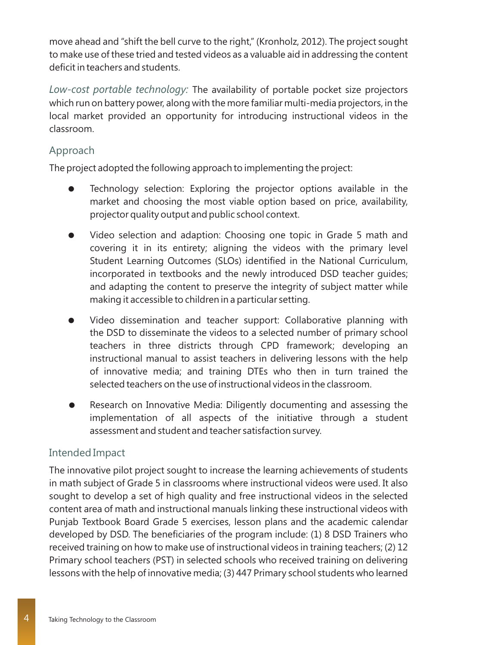move ahead and "shift the bell curve to the right," (Kronholz, 2012). The project sought to make use of these tried and tested videos as a valuable aid in addressing the content deficit in teachers and students.

Low-cost portable technology: The availability of portable pocket size projectors which run on battery power, along with the more familiar multi-media projectors, in the local market provided an opportunity for introducing instructional videos in the classroom.

#### Approach

The project adopted the following approach to implementing the project:

- Technology selection: Exploring the projector options available in the market and choosing the most viable option based on price, availability, projector quality output and public school context.
- Video selection and adaption: Choosing one topic in Grade 5 math and covering it in its entirety; aligning the videos with the primary level Student Learning Outcomes (SLOs) identified in the National Curriculum, incorporated in textbooks and the newly introduced DSD teacher guides; and adapting the content to preserve the integrity of subject matter while making it accessible to children in a particular setting.
- Video dissemination and teacher support: Collaborative planning with the DSD to disseminate the videos to a selected number of primary school teachers in three districts through CPD framework; developing an instructional manual to assist teachers in delivering lessons with the help of innovative media; and training DTEs who then in turn trained the selected teachers on the use of instructional videos in the classroom.
- Research on Innovative Media: Diligently documenting and assessing the implementation of all aspects of the initiative through a student assessment and student and teacher satisfaction survey.

#### Intended Impact

The innovative pilot project sought to increase the learning achievements of students in math subject of Grade 5 in classrooms where instructional videos were used. It also sought to develop a set of high quality and free instructional videos in the selected content area of math and instructional manuals linking these instructional videos with Punjab Textbook Board Grade 5 exercises, lesson plans and the academic calendar developed by DSD. The beneficiaries of the program include: (1) 8 DSD Trainers who received training on how to make use of instructional videos in training teachers; (2) 12 Primary school teachers (PST) in selected schools who received training on delivering lessons with the help of innovative media; (3) 447 Primary school students who learned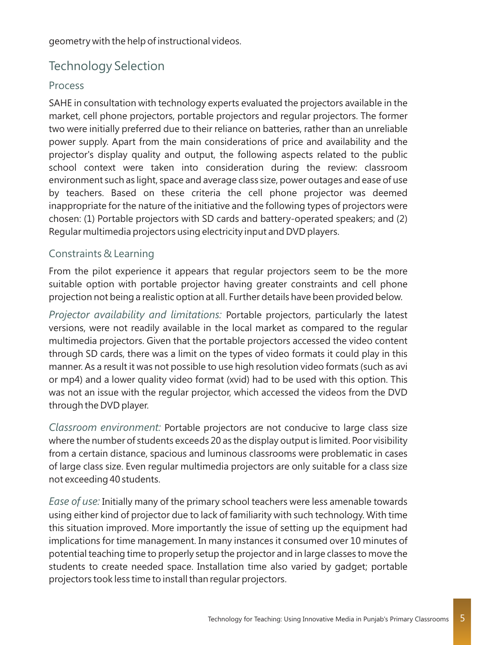geometry with the help of instructional videos.

### Technology Selection

#### Process

SAHE in consultation with technology experts evaluated the projectors available in the market, cell phone projectors, portable projectors and regular projectors. The former two were initially preferred due to their reliance on batteries, rather than an unreliable power supply. Apart from the main considerations of price and availability and the projector's display quality and output, the following aspects related to the public school context were taken into consideration during the review: classroom environment such as light, space and average class size, power outages and ease of use by teachers. Based on these criteria the cell phone projector was deemed inappropriate for the nature of the initiative and the following types of projectors were chosen: (1) Portable projectors with SD cards and battery-operated speakers; and (2) Regular multimedia projectors using electricity input and DVD players.

#### Constraints & Learning

From the pilot experience it appears that regular projectors seem to be the more suitable option with portable projector having greater constraints and cell phone projection not being a realistic option at all. Further details have been provided below.

Projector availability and limitations: Portable projectors, particularly the latest versions, were not readily available in the local market as compared to the regular multimedia projectors. Given that the portable projectors accessed the video content through SD cards, there was a limit on the types of video formats it could play in this manner. As a result it was not possible to use high resolution video formats (such as avi or mp4) and a lower quality video format (xvid) had to be used with this option. This was not an issue with the regular projector, which accessed the videos from the DVD through the DVD player.

Classroom environment: Portable projectors are not conducive to large class size where the number of students exceeds 20 as the display output is limited. Poor visibility from a certain distance, spacious and luminous classrooms were problematic in cases of large class size. Even regular multimedia projectors are only suitable for a class size not exceeding 40 students.

Ease of use: Initially many of the primary school teachers were less amenable towards using either kind of projector due to lack of familiarity with such technology. With time this situation improved. More importantly the issue of setting up the equipment had implications for time management. In many instances it consumed over 10 minutes of potential teaching time to properly setup the projector and in large classes to move the students to create needed space. Installation time also varied by gadget; portable projectors took less time to install than regular projectors.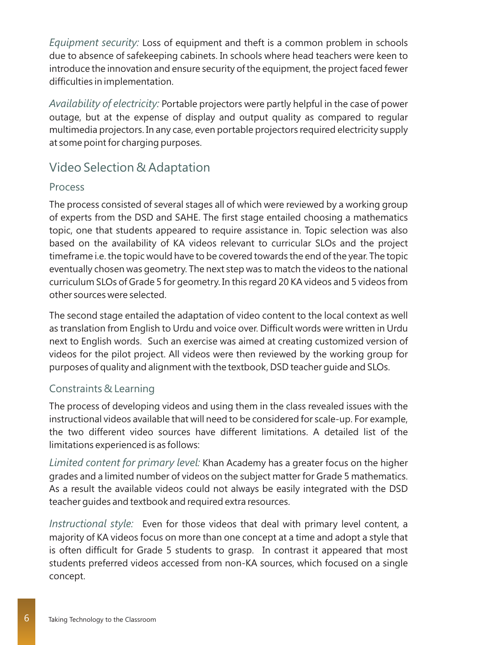*Equipment security:* Loss of equipment and theft is a common problem in schools due to absence of safekeeping cabinets. In schools where head teachers were keen to introduce the innovation and ensure security of the equipment, the project faced fewer difficulties in implementation.

Availability of electricity: Portable projectors were partly helpful in the case of power outage, but at the expense of display and output quality as compared to regular multimedia projectors. In any case, even portable projectors required electricity supply at some point for charging purposes.

# Video Selection & Adaptation

#### Process

The process consisted of several stages all of which were reviewed by a working group of experts from the DSD and SAHE. The first stage entailed choosing a mathematics topic, one that students appeared to require assistance in. Topic selection was also based on the availability of KA videos relevant to curricular SLOs and the project timeframe i.e. the topic would have to be covered towards the end of the year. The topic eventually chosen was geometry. The next step was to match the videos to the national curriculum SLOs of Grade 5 for geometry. In this regard 20 KA videos and 5 videos from other sources were selected.

The second stage entailed the adaptation of video content to the local context as well as translation from English to Urdu and voice over. Difficult words were written in Urdu next to English words. Such an exercise was aimed at creating customized version of videos for the pilot project. All videos were then reviewed by the working group for purposes of quality and alignment with the textbook, DSD teacher guide and SLOs.

#### Constraints & Learning

The process of developing videos and using them in the class revealed issues with the instructional videos available that will need to be considered for scale-up. For example, the two different video sources have different limitations. A detailed list of the limitations experienced is as follows:

*Limited content for primary level:* Khan Academy has a greater focus on the higher grades and a limited number of videos on the subject matter for Grade 5 mathematics. As a result the available videos could not always be easily integrated with the DSD teacher guides and textbook and required extra resources.

*Instructional style:* Even for those videos that deal with primary level content, a majority of KA videos focus on more than one concept at a time and adopt a style that is often difficult for Grade 5 students to grasp. In contrast it appeared that most students preferred videos accessed from non-KA sources, which focused on a single concept.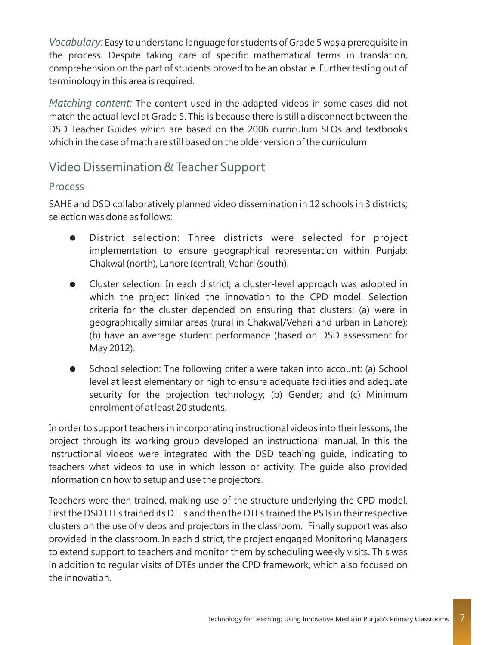*Vocabulary:* Easy to understand language for students of Grade 5 was a prerequisite in the process. Despite taking care of specific mathematical terms in translation, comprehension on the part of students proved to be an obstacle. Further testing out of terminology in this area is required.

Matching content: The content used in the adapted videos in some cases did not match the actual level at Grade 5. This is because there is still a disconnect between the DSD Teacher Guides which are based on the 2006 curriculum SLOs and textbooks which in the case of math are still based on the older version of the curriculum.

### Video Dissemination & Teacher Support

#### Process

SAHE and DSD collaboratively planned video dissemination in 12 schools in 3 districts; selection was done as follows:

- District selection: Three districts were selected for project implementation to ensure geographical representation within Punjab: Chakwal (north), Lahore (central), Vehari (south).
- Cluster selection: In each district, a cluster-level approach was adopted in which the project linked the innovation to the CPD model. Selection criteria for the cluster depended on ensuring that clusters: (a) were in geographically similar areas (rural in Chakwal/Vehari and urban in Lahore); (b) have an average student performance (based on DSD assessment for May 2012).
- School selection: The following criteria were taken into account: (a) School level at least elementary or high to ensure adequate facilities and adequate security for the projection technology; (b) Gender; and (c) Minimum enrolment of at least 20 students.

In order to support teachers in incorporating instructional videos into their lessons, the project through its working group developed an instructional manual. In this the instructional videos were integrated with the DSD teaching guide, indicating to teachers what videos to use in which lesson or activity. The guide also provided information on how to setup and use the projectors.

Teachers were then trained, making use of the structure underlying the CPD model. First the DSD LTEs trained its DTEs and then the DTEs trained the PSTs in their respective clusters on the use of videos and projectors in the classroom. Finally support was also provided in the classroom. In each district, the project engaged Monitoring Managers to extend support to teachers and monitor them by scheduling weekly visits. This was in addition to regular visits of DTEs under the CPD framework, which also focused on the innovation.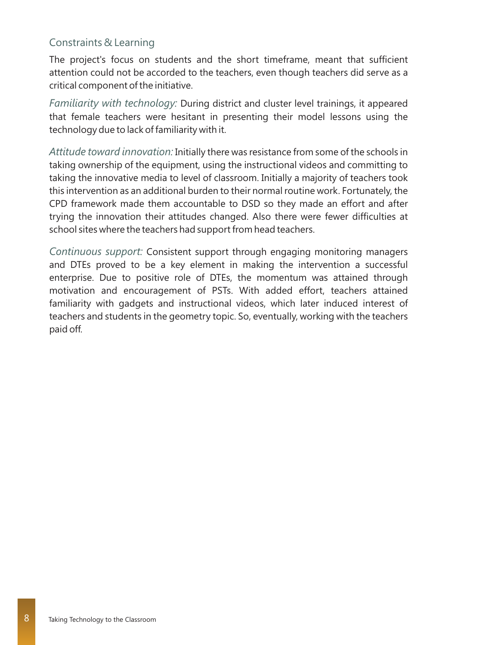#### Constraints & Learning

The project's focus on students and the short timeframe, meant that sufficient attention could not be accorded to the teachers, even though teachers did serve as a critical component of the initiative.

Familiarity with technology: During district and cluster level trainings, it appeared that female teachers were hesitant in presenting their model lessons using the technology due to lack of familiarity with it.

Attitude toward innovation: Initially there was resistance from some of the schools in taking ownership of the equipment, using the instructional videos and committing to taking the innovative media to level of classroom. Initially a majority of teachers took this intervention as an additional burden to their normal routine work. Fortunately, the CPD framework made them accountable to DSD so they made an effort and after trying the innovation their attitudes changed. Also there were fewer difficulties at school sites where the teachers had support from head teachers.

Continuous support: Consistent support through engaging monitoring managers and DTEs proved to be a key element in making the intervention a successful enterprise. Due to positive role of DTEs, the momentum was attained through motivation and encouragement of PSTs. With added effort, teachers attained familiarity with gadgets and instructional videos, which later induced interest of teachers and students in the geometry topic. So, eventually, working with the teachers paid off.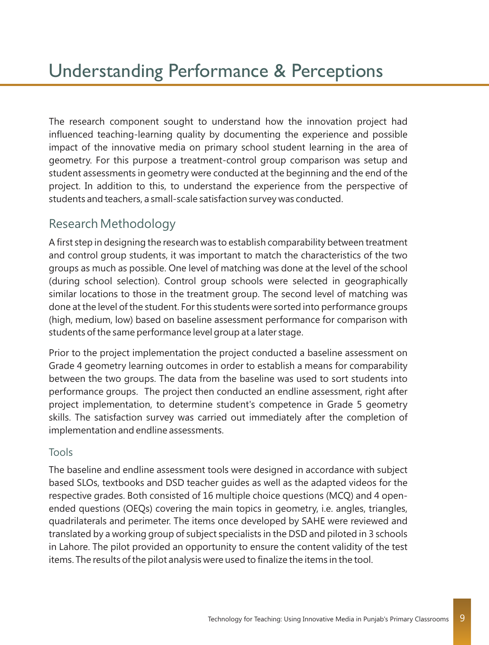The research component sought to understand how the innovation project had influenced teaching-learning quality by documenting the experience and possible impact of the innovative media on primary school student learning in the area of geometry. For this purpose a treatment-control group comparison was setup and student assessments in geometry were conducted at the beginning and the end of the project. In addition to this, to understand the experience from the perspective of students and teachers, a small-scale satisfaction survey was conducted.

### Research Methodology

A first step in designing the research was to establish comparability between treatment and control group students, it was important to match the characteristics of the two groups as much as possible. One level of matching was done at the level of the school (during school selection). Control group schools were selected in geographically similar locations to those in the treatment group. The second level of matching was done at the level of the student. For this students were sorted into performance groups (high, medium, low) based on baseline assessment performance for comparison with students of the same performance level group at a later stage.

Prior to the project implementation the project conducted a baseline assessment on Grade 4 geometry learning outcomes in order to establish a means for comparability between the two groups. The data from the baseline was used to sort students into performance groups. The project then conducted an endline assessment, right after project implementation, to determine student's competence in Grade 5 geometry skills. The satisfaction survey was carried out immediately after the completion of implementation and endline assessments.

#### Tools

The baseline and endline assessment tools were designed in accordance with subject based SLOs, textbooks and DSD teacher guides as well as the adapted videos for the respective grades. Both consisted of 16 multiple choice questions (MCQ) and 4 openended questions (OEQs) covering the main topics in geometry, i.e. angles, triangles, quadrilaterals and perimeter. The items once developed by SAHE were reviewed and translated by a working group of subject specialists in the DSD and piloted in 3 schools in Lahore. The pilot provided an opportunity to ensure the content validity of the test items. The results of the pilot analysis were used to finalize the items in the tool.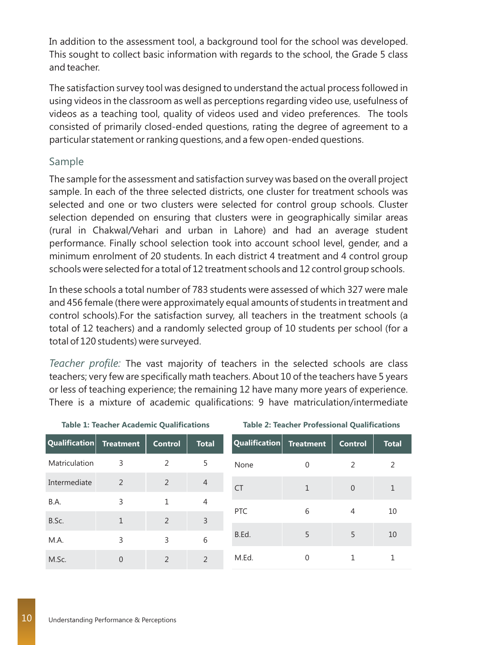In addition to the assessment tool, a background tool for the school was developed. This sought to collect basic information with regards to the school, the Grade 5 class and teacher.

The satisfaction survey tool was designed to understand the actual process followed in using videos in the classroom as well as perceptions regarding video use, usefulness of videos as a teaching tool, quality of videos used and video preferences. The tools consisted of primarily closed-ended questions, rating the degree of agreement to a particular statement or ranking questions, and a few open-ended questions.

#### Sample

The sample for the assessment and satisfaction survey was based on the overall project sample. In each of the three selected districts, one cluster for treatment schools was selected and one or two clusters were selected for control group schools. Cluster selection depended on ensuring that clusters were in geographically similar areas (rural in Chakwal/Vehari and urban in Lahore) and had an average student performance. Finally school selection took into account school level, gender, and a minimum enrolment of 20 students. In each district 4 treatment and 4 control group schools were selected for a total of 12 treatment schools and 12 control group schools.

In these schools a total number of 783 students were assessed of which 327 were male and 456 female (there were approximately equal amounts of students in treatment and control schools).For the satisfaction survey, all teachers in the treatment schools (a total of 12 teachers) and a randomly selected group of 10 students per school (for a total of 120 students) were surveyed.

Teacher profile: The vast majority of teachers in the selected schools are class teachers; very few are specifically math teachers. About 10 of the teachers have 5 years or less of teaching experience; the remaining 12 have many more years of experience. There is a mixture of academic qualifications: 9 have matriculation/intermediate

| Qualification | <b>Treatment</b> | <b>Control</b> | <b>Total</b>  |
|---------------|------------------|----------------|---------------|
| Matriculation | 3                | 2              | 5             |
| Intermediate  | 2                | 2              | 4             |
| B.A.          | 3                | 1              | 4             |
| B.Sc.         | 1                | $\overline{2}$ | 3             |
| M.A.          | 3                | 3              | 6             |
| M.Sc.         | Ω                | 2              | $\mathcal{P}$ |

**Table 1: Teacher Academic Qualifications**

**Table 2: Teacher Professional Qualifications**

| Qualification Treatment |   | <b>Control</b> | <b>Total</b> |  |
|-------------------------|---|----------------|--------------|--|
| None                    | 0 | 2              | 2            |  |
| <b>CT</b>               | 1 | $\Omega$       | $\mathbf{1}$ |  |
| PTC                     | 6 | 4              | 10           |  |
| B.Ed.                   | 5 | 5              | 10           |  |
| M.Ed.                   |   | 1              | 1            |  |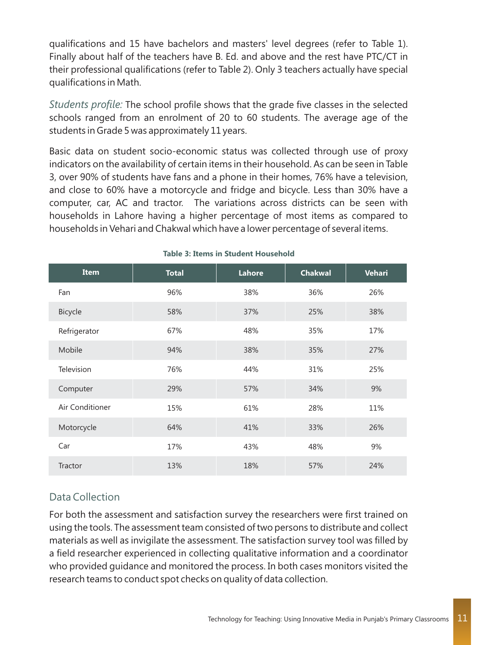qualifications and 15 have bachelors and masters' level degrees (refer to Table 1). Finally about half of the teachers have B. Ed. and above and the rest have PTC/CT in their professional qualifications (refer to Table 2). Only 3 teachers actually have special qualifications in Math.

Students profile: The school profile shows that the grade five classes in the selected schools ranged from an enrolment of 20 to 60 students. The average age of the students in Grade 5 was approximately 11 years.

Basic data on student socio-economic status was collected through use of proxy indicators on the availability of certain items in their household. As can be seen in Table 3, over 90% of students have fans and a phone in their homes, 76% have a television, and close to 60% have a motorcycle and fridge and bicycle. Less than 30% have a computer, car, AC and tractor. The variations across districts can be seen with households in Lahore having a higher percentage of most items as compared to households in Vehari and Chakwal which have a lower percentage of several items.

| <b>Item</b>     | <b>Total</b> | Lahore | <b>Chakwal</b> | <b>Vehari</b> |
|-----------------|--------------|--------|----------------|---------------|
| Fan             | 96%          | 38%    | 36%            | 26%           |
| Bicycle         | 58%          | 37%    | 25%            | 38%           |
| Refrigerator    | 67%          | 48%    | 35%            | 17%           |
| Mobile          | 94%          | 38%    | 35%            | 27%           |
| Television      | 76%          | 44%    | 31%            | 25%           |
| Computer        | 29%          | 57%    | 34%            | 9%            |
| Air Conditioner | 15%          | 61%    | 28%            | 11%           |
| Motorcycle      | 64%          | 41%    | 33%            | 26%           |
| Car             | 17%          | 43%    | 48%            | 9%            |
| Tractor         | 13%          | 18%    | 57%            | 24%           |

#### **Table 3: Items in Student Household**

#### Data Collection

For both the assessment and satisfaction survey the researchers were first trained on using the tools. The assessment team consisted of two persons to distribute and collect materials as well as invigilate the assessment. The satisfaction survey tool was filled by a field researcher experienced in collecting qualitative information and a coordinator who provided guidance and monitored the process. In both cases monitors visited the research teams to conduct spot checks on quality of data collection.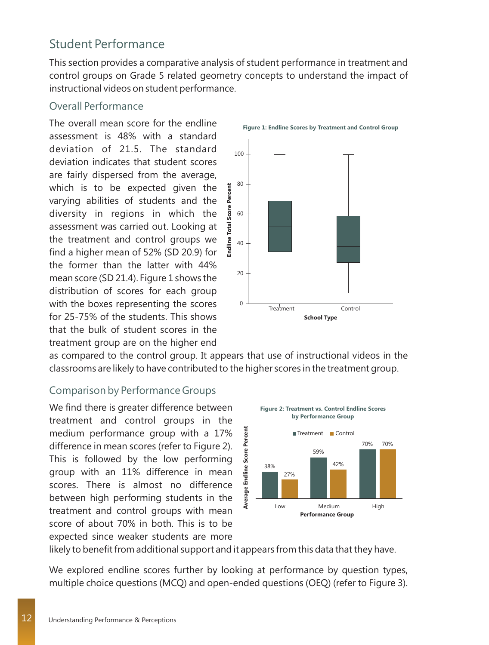### Student Performance

This section provides a comparative analysis of student performance in treatment and control groups on Grade 5 related geometry concepts to understand the impact of instructional videos on student performance.

#### Overall Performance

The overall mean score for the endline assessment is 48% with a standard deviation of 21.5. The standard deviation indicates that student scores are fairly dispersed from the average, which is to be expected given the varying abilities of students and the diversity in regions in which the assessment was carried out. Looking at the treatment and control groups we find a higher mean of 52% (SD 20.9) for the former than the latter with 44% mean score (SD 21.4). Figure 1 shows the distribution of scores for each group with the boxes representing the scores for 25-75% of the students. This shows that the bulk of student scores in the treatment group are on the higher end



as compared to the control group. It appears that use of instructional videos in the classrooms are likely to have contributed to the higher scores in the treatment group.

#### Comparison by Performance Groups

We find there is greater difference between treatment and control groups in the medium performance group with a 17% difference in mean scores (refer to Figure 2). This is followed by the low performing group with an 11% difference in mean scores. There is almost no difference between high performing students in the treatment and control groups with mean score of about 70% in both. This is to be expected since weaker students are more



likely to benefit from additional support and it appears from this data that they have.

We explored endline scores further by looking at performance by question types, multiple choice questions (MCQ) and open-ended questions (OEQ) (refer to Figure 3).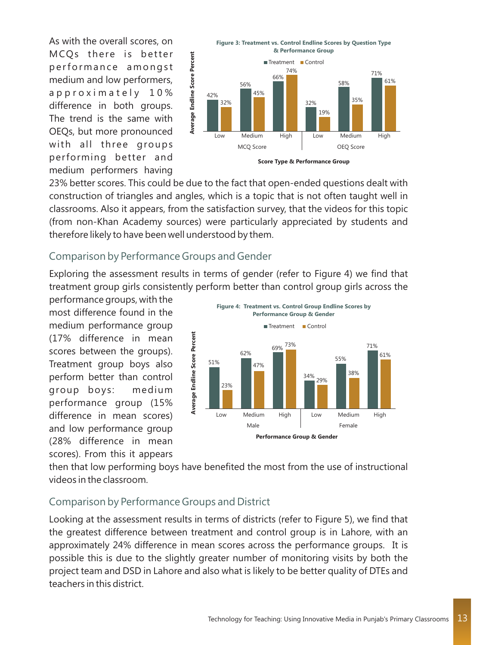As with the overall scores, on MCQs there is better performance amongst medium and low performers, a p p r o x i m a t e l y 10 % difference in both groups. The trend is the same with OEQs, but more pronounced with all three groups performing better and medium performers having



23% better scores. This could be due to the fact that open-ended questions dealt with construction of triangles and angles, which is a topic that is not often taught well in classrooms. Also it appears, from the satisfaction survey, that the videos for this topic (from non-Khan Academy sources) were particularly appreciated by students and therefore likely to have been well understood by them.

#### Comparison by Performance Groups and Gender

Exploring the assessment results in terms of gender (refer to Figure 4) we find that treatment group girls consistently perform better than control group girls across the

performance groups, with the most difference found in the medium performance group (17% difference in mean scores between the groups). Treatment group boys also perform better than control group boys: medium performance group (15% difference in mean scores) and low performance group (28% difference in mean scores). From this it appears



then that low performing boys have benefited the most from the use of instructional videos in the classroom.

#### Comparison by Performance Groups and District

Looking at the assessment results in terms of districts (refer to Figure 5), we find that the greatest difference between treatment and control group is in Lahore, with an approximately 24% difference in mean scores across the performance groups. It is possible this is due to the slightly greater number of monitoring visits by both the project team and DSD in Lahore and also what is likely to be better quality of DTEs and teachers in this district.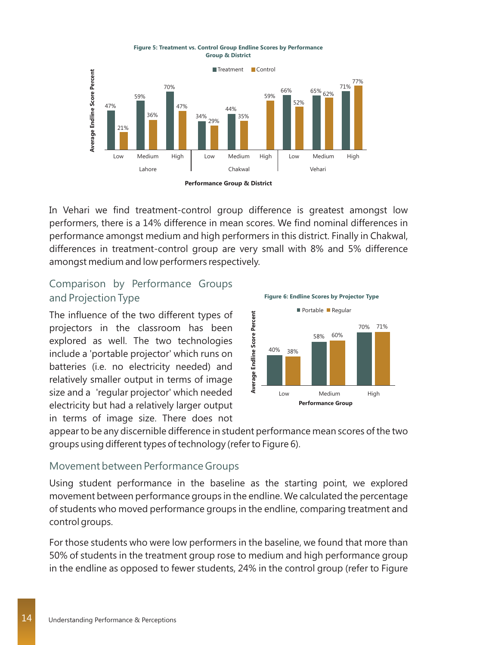

**Figure 5: Treatment vs. Control Group Endline Scores by Performance Group & District**

In Vehari we find treatment-control group difference is greatest amongst low performers, there is a 14% difference in mean scores. We find nominal differences in performance amongst medium and high performers in this district. Finally in Chakwal, differences in treatment-control group are very small with 8% and 5% difference amongst medium and low performers respectively.

#### Comparison by Performance Groups and Projection Type

The influence of the two different types of projectors in the classroom has been explored as well. The two technologies include a 'portable projector' which runs on batteries (i.e. no electricity needed) and relatively smaller output in terms of image size and a 'regular projector' which needed electricity but had a relatively larger output in terms of image size. There does not



appear to be any discernible difference in student performance mean scores of the two groups using different types of technology (refer to Figure 6).

#### Movement between Performance Groups

Using student performance in the baseline as the starting point, we explored movement between performance groups in the endline. We calculated the percentage of students who moved performance groups in the endline, comparing treatment and control groups.

For those students who were low performers in the baseline, we found that more than 50% of students in the treatment group rose to medium and high performance group in the endline as opposed to fewer students, 24% in the control group (refer to Figure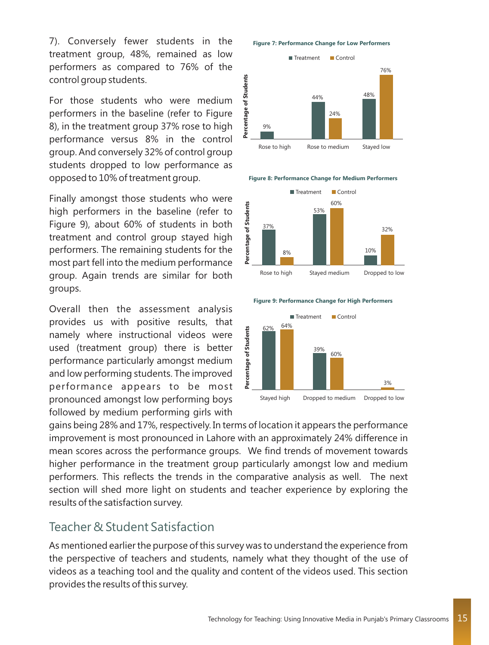7). Conversely fewer students in the treatment group, 48%, remained as low performers as compared to 76% of the control group students.

For those students who were medium performers in the baseline (refer to Figure 8), in the treatment group 37% rose to high performance versus 8% in the control group. And conversely 32% of control group students dropped to low performance as opposed to 10% of treatment group.

Finally amongst those students who were high performers in the baseline (refer to Figure 9), about 60% of students in both treatment and control group stayed high performers. The remaining students for the most part fell into the medium performance group. Again trends are similar for both groups.

Overall then the assessment analysis provides us with positive results, that namely where instructional videos were used (treatment group) there is better performance particularly amongst medium and low performing students. The improved performance appears to be most pronounced amongst low performing boys followed by medium performing girls with

**Figure 7: Performance Change for Low Performers**



**Figure 8: Performance Change for Medium Performers** 



**Figure 9: Performance Change for High Performers** 



gains being 28% and 17%, respectively. In terms of location it appears the performance improvement is most pronounced in Lahore with an approximately 24% difference in mean scores across the performance groups. We find trends of movement towards higher performance in the treatment group particularly amongst low and medium performers. This reflects the trends in the comparative analysis as well. The next section will shed more light on students and teacher experience by exploring the results of the satisfaction survey.

#### Teacher & Student Satisfaction

As mentioned earlier the purpose of this survey was to understand the experience from the perspective of teachers and students, namely what they thought of the use of videos as a teaching tool and the quality and content of the videos used. This section provides the results of this survey.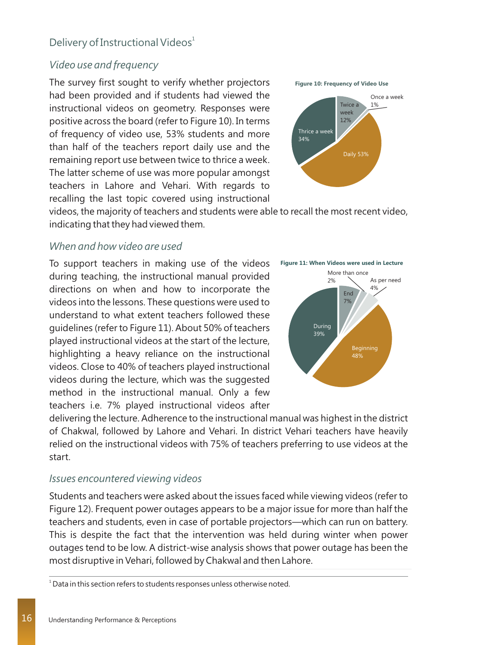#### Delivery of Instructional Videos<sup>1</sup>

#### *Video use and frequency*

The survey first sought to verify whether projectors had been provided and if students had viewed the instructional videos on geometry. Responses were positive across the board (refer to Figure 10). In terms of frequency of video use, 53% students and more than half of the teachers report daily use and the remaining report use between twice to thrice a week. The latter scheme of use was more popular amongst teachers in Lahore and Vehari. With regards to recalling the last topic covered using instructional

**Figure 10: Frequency of Video Use**



videos, the majority of teachers and students were able to recall the most recent video, indicating that they had viewed them.

#### *When and how video are used*

To support teachers in making use of the videos during teaching, the instructional manual provided directions on when and how to incorporate the videos into the lessons. These questions were used to understand to what extent teachers followed these guidelines (refer to Figure 11). About 50% of teachers played instructional videos at the start of the lecture, highlighting a heavy reliance on the instructional videos. Close to 40% of teachers played instructional videos during the lecture, which was the suggested method in the instructional manual. Only a few teachers i.e. 7% played instructional videos after



delivering the lecture. Adherence to the instructional manual was highest in the district of Chakwal, followed by Lahore and Vehari. In district Vehari teachers have heavily relied on the instructional videos with 75% of teachers preferring to use videos at the start.

#### *Issues encountered viewing videos*

Students and teachers were asked about the issues faced while viewing videos (refer to Figure 12). Frequent power outages appears to be a major issue for more than half the teachers and students, even in case of portable projectors—which can run on battery. This is despite the fact that the intervention was held during winter when power outages tend to be low. A district-wise analysis shows that power outage has been the most disruptive in Vehari, followed by Chakwal and then Lahore.

 $1$  Data in this section refers to students responses unless otherwise noted.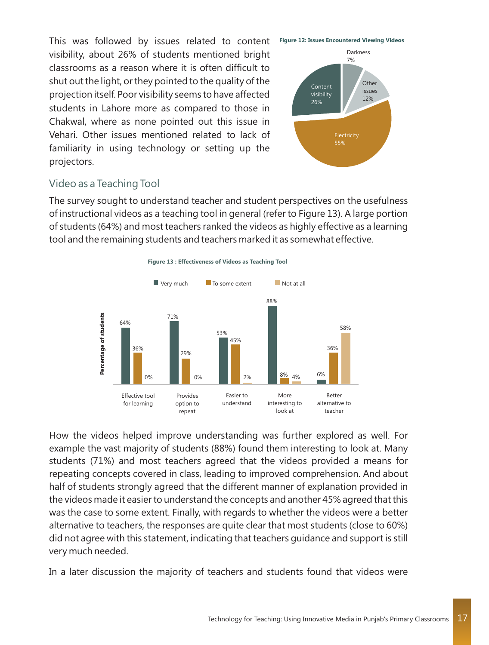This was followed by issues related to content visibility, about 26% of students mentioned bright classrooms as a reason where it is often difficult to shut out the light, or they pointed to the quality of the projection itself. Poor visibility seems to have affected students in Lahore more as compared to those in Chakwal, where as none pointed out this issue in Vehari. Other issues mentioned related to lack of familiarity in using technology or setting up the projectors.



#### Video as a Teaching Tool

The survey sought to understand teacher and student perspectives on the usefulness of instructional videos as a teaching tool in general (refer to Figure 13). A large portion of students (64%) and most teachers ranked the videos as highly effective as a learning tool and the remaining students and teachers marked it as somewhat effective.



How the videos helped improve understanding was further explored as well. For example the vast majority of students (88%) found them interesting to look at. Many students (71%) and most teachers agreed that the videos provided a means for repeating concepts covered in class, leading to improved comprehension. And about half of students strongly agreed that the different manner of explanation provided in the videos made it easier to understand the concepts and another 45% agreed that this was the case to some extent. Finally, with regards to whether the videos were a better alternative to teachers, the responses are quite clear that most students (close to 60%) did not agree with this statement, indicating that teachers guidance and support is still very much needed.

In a later discussion the majority of teachers and students found that videos were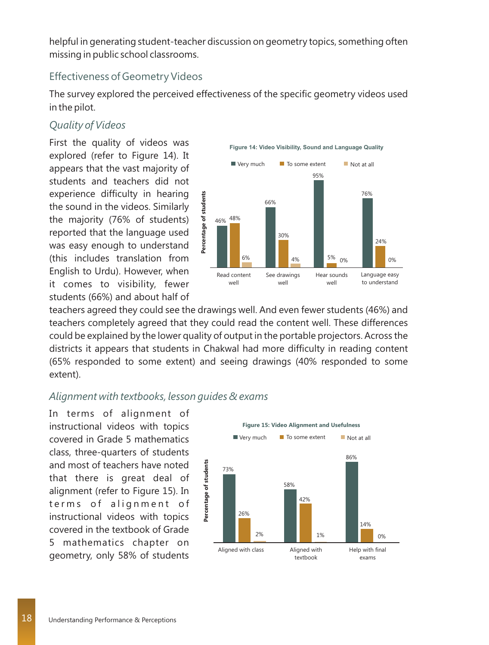helpful in generating student-teacher discussion on geometry topics, something often missing in public school classrooms.

#### Effectiveness of Geometry Videos

The survey explored the perceived effectiveness of the specific geometry videos used in the pilot.

#### *Quality of Videos*

First the quality of videos was explored (refer to Figure 14). It appears that the vast majority of students and teachers did not experience difficulty in hearing the sound in the videos. Similarly the majority (76% of students) reported that the language used was easy enough to understand (this includes translation from English to Urdu). However, when it comes to visibility, fewer students (66%) and about half of



teachers agreed they could see the drawings well. And even fewer students (46%) and teachers completely agreed that they could read the content well. These differences could be explained by the lower quality of output in the portable projectors. Across the districts it appears that students in Chakwal had more difficulty in reading content (65% responded to some extent) and seeing drawings (40% responded to some extent).

#### *Alignment with textbooks, lesson guides & exams*

In terms of alignment of instructional videos with topics covered in Grade 5 mathematics class, three-quarters of students and most of teachers have noted that there is great deal of alignment (refer to Figure 15). In terms of alignment of instructional videos with topics covered in the textbook of Grade 5 mathematics chapter on geometry, only 58% of students

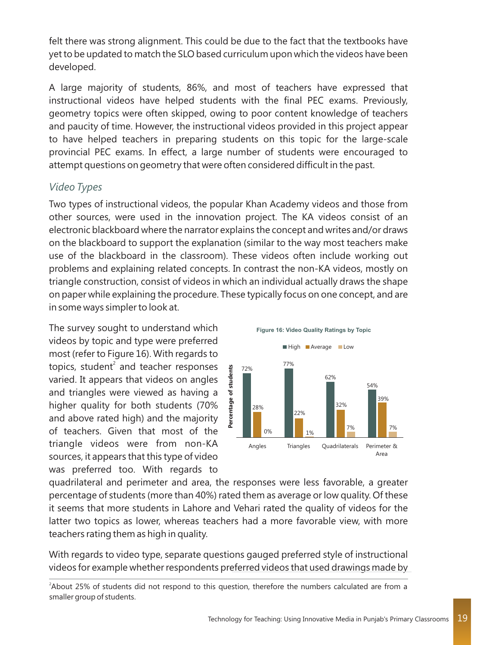felt there was strong alignment. This could be due to the fact that the textbooks have yet to be updated to match the SLO based curriculum upon which the videos have been developed.

A large majority of students, 86%, and most of teachers have expressed that instructional videos have helped students with the final PEC exams. Previously, geometry topics were often skipped, owing to poor content knowledge of teachers and paucity of time. However, the instructional videos provided in this project appear to have helped teachers in preparing students on this topic for the large-scale provincial PEC exams. In effect, a large number of students were encouraged to attempt questions on geometry that were often considered difficult in the past.

#### *Video Types*

Two types of instructional videos, the popular Khan Academy videos and those from other sources, were used in the innovation project. The KA videos consist of an electronic blackboard where the narrator explains the concept and writes and/or draws on the blackboard to support the explanation (similar to the way most teachers make use of the blackboard in the classroom). These videos often include working out problems and explaining related concepts. In contrast the non-KA videos, mostly on triangle construction, consist of videos in which an individual actually draws the shape on paper while explaining the procedure. These typically focus on one concept, and are in some ways simpler to look at.

The survey sought to understand which videos by topic and type were preferred most (refer to Figure 16). With regards to topics, student<sup>2</sup> and teacher responses varied. It appears that videos on angles and triangles were viewed as having a higher quality for both students (70% and above rated high) and the majority of teachers. Given that most of the triangle videos were from non-KA sources, it appears that this type of video was preferred too. With regards to



quadrilateral and perimeter and area, the responses were less favorable, a greater percentage of students (more than 40%) rated them as average or low quality. Of these it seems that more students in Lahore and Vehari rated the quality of videos for the latter two topics as lower, whereas teachers had a more favorable view, with more teachers rating them as high in quality.

With regards to video type, separate questions gauged preferred style of instructional videos for example whether respondents preferred videos that used drawings made by

<sup>2</sup> About 25% of students did not respond to this question, therefore the numbers calculated are from a smaller group of students.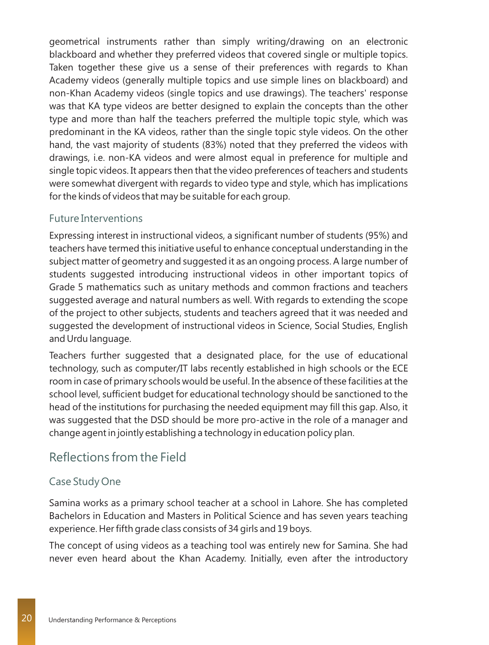geometrical instruments rather than simply writing/drawing on an electronic blackboard and whether they preferred videos that covered single or multiple topics. Taken together these give us a sense of their preferences with regards to Khan Academy videos (generally multiple topics and use simple lines on blackboard) and non-Khan Academy videos (single topics and use drawings). The teachers' response was that KA type videos are better designed to explain the concepts than the other type and more than half the teachers preferred the multiple topic style, which was predominant in the KA videos, rather than the single topic style videos. On the other hand, the vast majority of students (83%) noted that they preferred the videos with drawings, i.e. non-KA videos and were almost equal in preference for multiple and single topic videos. It appears then that the video preferences of teachers and students were somewhat divergent with regards to video type and style, which has implications for the kinds of videos that may be suitable for each group.

#### Future Interventions

Expressing interest in instructional videos, a significant number of students (95%) and teachers have termed this initiative useful to enhance conceptual understanding in the subject matter of geometry and suggested it as an ongoing process. A large number of students suggested introducing instructional videos in other important topics of Grade 5 mathematics such as unitary methods and common fractions and teachers suggested average and natural numbers as well. With regards to extending the scope of the project to other subjects, students and teachers agreed that it was needed and suggested the development of instructional videos in Science, Social Studies, English and Urdu language.

Teachers further suggested that a designated place, for the use of educational technology, such as computer/IT labs recently established in high schools or the ECE room in case of primary schools would be useful. In the absence of these facilities at the school level, sufficient budget for educational technology should be sanctioned to the head of the institutions for purchasing the needed equipment may fill this gap. Also, it was suggested that the DSD should be more pro-active in the role of a manager and change agent in jointly establishing a technology in education policy plan.

### Reflections from the Field

#### Case Study One

Samina works as a primary school teacher at a school in Lahore. She has completed Bachelors in Education and Masters in Political Science and has seven years teaching experience. Her fifth grade class consists of 34 girls and 19 boys.

The concept of using videos as a teaching tool was entirely new for Samina. She had never even heard about the Khan Academy. Initially, even after the introductory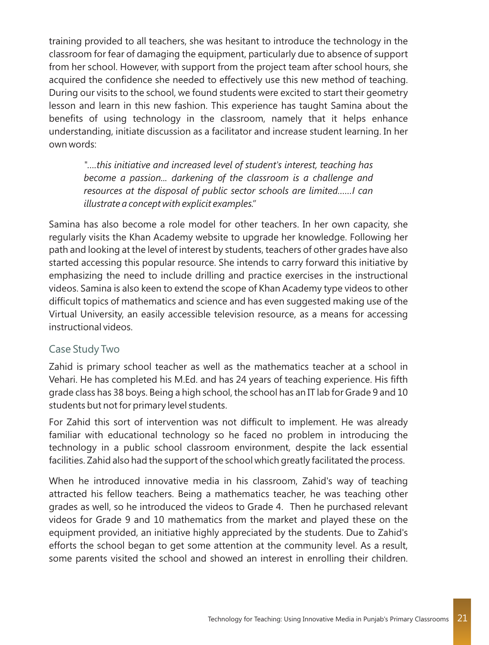training provided to all teachers, she was hesitant to introduce the technology in the classroom for fear of damaging the equipment, particularly due to absence of support from her school. However, with support from the project team after school hours, she acquired the confidence she needed to effectively use this new method of teaching. During our visits to the school, we found students were excited to start their geometry lesson and learn in this new fashion. This experience has taught Samina about the benefits of using technology in the classroom, namely that it helps enhance understanding, initiate discussion as a facilitator and increase student learning. In her own words:

*"….this initiative and increased level of student's interest, teaching has become a passion... darkening of the classroom is a challenge and resources at the disposal of public sector schools are limited……I can illustrate a concept with explicit examples."*

Samina has also become a role model for other teachers. In her own capacity, she regularly visits the Khan Academy website to upgrade her knowledge. Following her path and looking at the level of interest by students, teachers of other grades have also started accessing this popular resource. She intends to carry forward this initiative by emphasizing the need to include drilling and practice exercises in the instructional videos. Samina is also keen to extend the scope of Khan Academy type videos to other difficult topics of mathematics and science and has even suggested making use of the Virtual University, an easily accessible television resource, as a means for accessing instructional videos.

#### Case Study Two

Zahid is primary school teacher as well as the mathematics teacher at a school in Vehari. He has completed his M.Ed. and has 24 years of teaching experience. His fifth grade class has 38 boys. Being a high school, the school has an IT lab for Grade 9 and 10 students but not for primary level students.

For Zahid this sort of intervention was not difficult to implement. He was already familiar with educational technology so he faced no problem in introducing the technology in a public school classroom environment, despite the lack essential facilities. Zahid also had the support of the school which greatly facilitated the process.

When he introduced innovative media in his classroom, Zahid's way of teaching attracted his fellow teachers. Being a mathematics teacher, he was teaching other grades as well, so he introduced the videos to Grade 4. Then he purchased relevant videos for Grade 9 and 10 mathematics from the market and played these on the equipment provided, an initiative highly appreciated by the students. Due to Zahid's efforts the school began to get some attention at the community level. As a result, some parents visited the school and showed an interest in enrolling their children.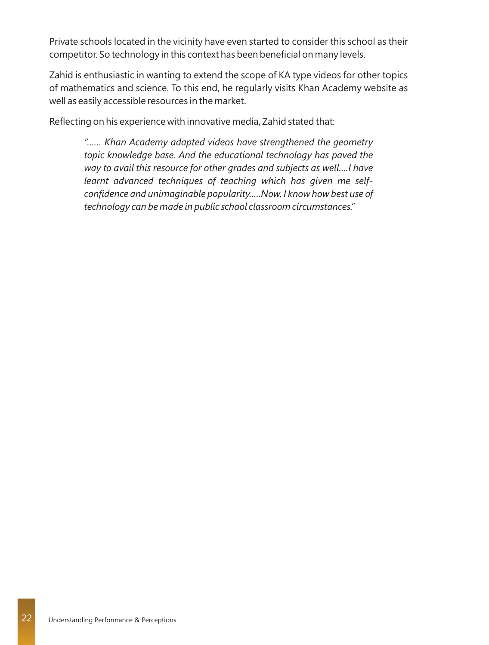Private schools located in the vicinity have even started to consider this school as their competitor. So technology in this context has been beneficial on many levels.

Zahid is enthusiastic in wanting to extend the scope of KA type videos for other topics of mathematics and science. To this end, he regularly visits Khan Academy website as well as easily accessible resources in the market.

Reflecting on his experience with innovative media, Zahid stated that:

*"…… Khan Academy adapted videos have strengthened the geometry topic knowledge base. And the educational technology has paved the way to avail this resource for other grades and subjects as well….I have learnt advanced techniques of teaching which has given me selfconfidence and unimaginable popularity.….Now, I know how best use of technology can be made in public school classroom circumstances."*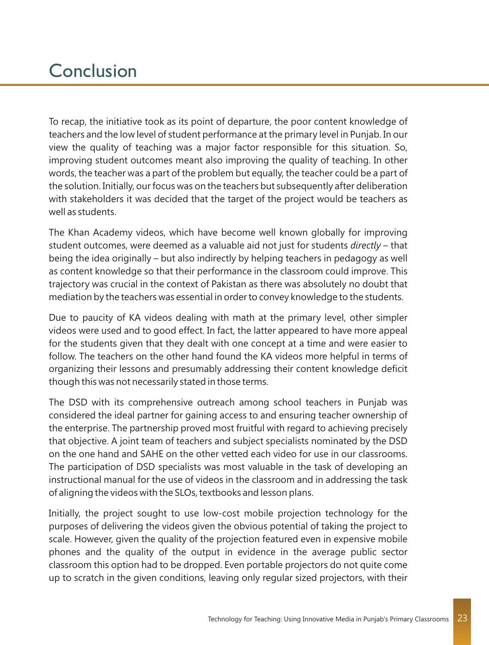# **Conclusion**

To recap, the initiative took as its point of departure, the poor content knowledge of teachers and the low level of student performance at the primary level in Punjab. In our view the quality of teaching was a major factor responsible for this situation. So, improving student outcomes meant also improving the quality of teaching. In other words, the teacher was a part of the problem but equally, the teacher could be a part of the solution. Initially, our focus was on the teachers but subsequently after deliberation with stakeholders it was decided that the target of the project would be teachers as well as students.

The Khan Academy videos, which have become well known globally for improving student outcomes, were deemed as a valuable aid not just for students *directly* – that being the idea originally – but also indirectly by helping teachers in pedagogy as well as content knowledge so that their performance in the classroom could improve. This trajectory was crucial in the context of Pakistan as there was absolutely no doubt that mediation by the teachers was essential in order to convey knowledge to the students.

Due to paucity of KA videos dealing with math at the primary level, other simpler videos were used and to good effect. In fact, the latter appeared to have more appeal for the students given that they dealt with one concept at a time and were easier to follow. The teachers on the other hand found the KA videos more helpful in terms of organizing their lessons and presumably addressing their content knowledge deficit though this was not necessarily stated in those terms.

The DSD with its comprehensive outreach among school teachers in Punjab was considered the ideal partner for gaining access to and ensuring teacher ownership of the enterprise. The partnership proved most fruitful with regard to achieving precisely that objective. A joint team of teachers and subject specialists nominated by the DSD on the one hand and SAHE on the other vetted each video for use in our classrooms. The participation of DSD specialists was most valuable in the task of developing an instructional manual for the use of videos in the classroom and in addressing the task of aligning the videos with the SLOs, textbooks and lesson plans.

Initially, the project sought to use low-cost mobile projection technology for the purposes of delivering the videos given the obvious potential of taking the project to scale. However, given the quality of the projection featured even in expensive mobile phones and the quality of the output in evidence in the average public sector classroom this option had to be dropped. Even portable projectors do not quite come up to scratch in the given conditions, leaving only regular sized projectors, with their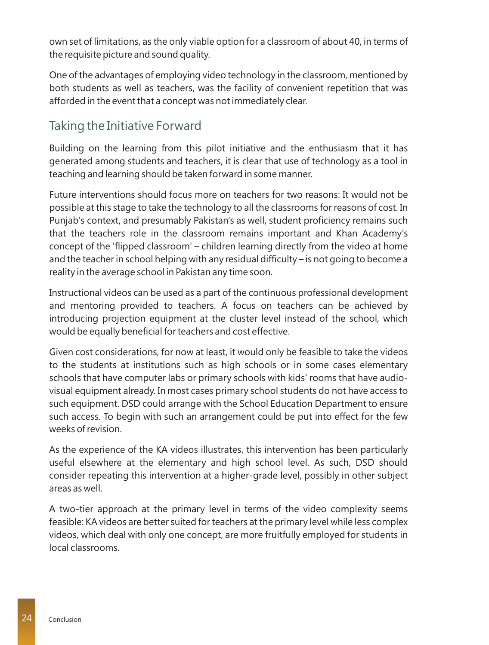own set of limitations, as the only viable option for a classroom of about 40, in terms of the requisite picture and sound quality.

One of the advantages of employing video technology in the classroom, mentioned by both students as well as teachers, was the facility of convenient repetition that was afforded in the event that a concept was not immediately clear.

# Taking the Initiative Forward

Building on the learning from this pilot initiative and the enthusiasm that it has generated among students and teachers, it is clear that use of technology as a tool in teaching and learning should be taken forward in some manner.

Future interventions should focus more on teachers for two reasons: It would not be possible at this stage to take the technology to all the classrooms for reasons of cost. In Punjab's context, and presumably Pakistan's as well, student proficiency remains such that the teachers role in the classroom remains important and Khan Academy's concept of the 'flipped classroom' – children learning directly from the video at home and the teacher in school helping with any residual difficulty – is not going to become a reality in the average school in Pakistan any time soon.

Instructional videos can be used as a part of the continuous professional development and mentoring provided to teachers. A focus on teachers can be achieved by introducing projection equipment at the cluster level instead of the school, which would be equally beneficial for teachers and cost effective.

Given cost considerations, for now at least, it would only be feasible to take the videos to the students at institutions such as high schools or in some cases elementary schools that have computer labs or primary schools with kids' rooms that have audiovisual equipment already. In most cases primary school students do not have access to such equipment. DSD could arrange with the School Education Department to ensure such access. To begin with such an arrangement could be put into effect for the few weeks of revision.

As the experience of the KA videos illustrates, this intervention has been particularly useful elsewhere at the elementary and high school level. As such, DSD should consider repeating this intervention at a higher-grade level, possibly in other subject areas as well.

A two-tier approach at the primary level in terms of the video complexity seems feasible: KA videos are better suited for teachers at the primary level while less complex videos, which deal with only one concept, are more fruitfully employed for students in local classrooms.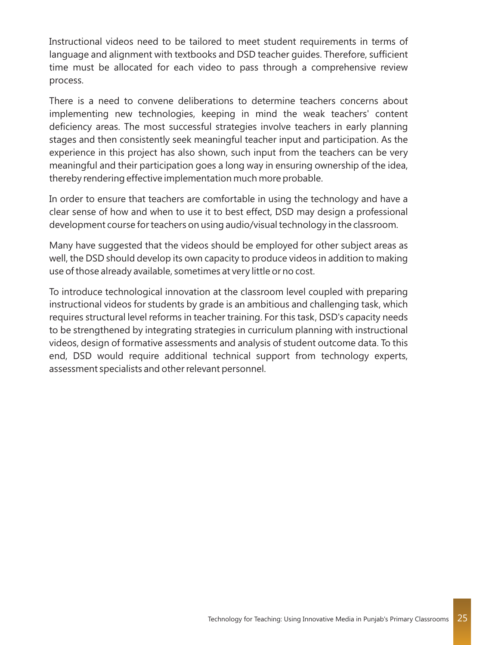Instructional videos need to be tailored to meet student requirements in terms of language and alignment with textbooks and DSD teacher guides. Therefore, sufficient time must be allocated for each video to pass through a comprehensive review process.

There is a need to convene deliberations to determine teachers concerns about implementing new technologies, keeping in mind the weak teachers' content deficiency areas. The most successful strategies involve teachers in early planning stages and then consistently seek meaningful teacher input and participation. As the experience in this project has also shown, such input from the teachers can be very meaningful and their participation goes a long way in ensuring ownership of the idea, thereby rendering effective implementation much more probable.

In order to ensure that teachers are comfortable in using the technology and have a clear sense of how and when to use it to best effect, DSD may design a professional development course for teachers on using audio/visual technology in the classroom.

Many have suggested that the videos should be employed for other subject areas as well, the DSD should develop its own capacity to produce videos in addition to making use of those already available, sometimes at very little or no cost.

To introduce technological innovation at the classroom level coupled with preparing instructional videos for students by grade is an ambitious and challenging task, which requires structural level reforms in teacher training. For this task, DSD's capacity needs to be strengthened by integrating strategies in curriculum planning with instructional videos, design of formative assessments and analysis of student outcome data. To this end, DSD would require additional technical support from technology experts, assessment specialists and other relevant personnel.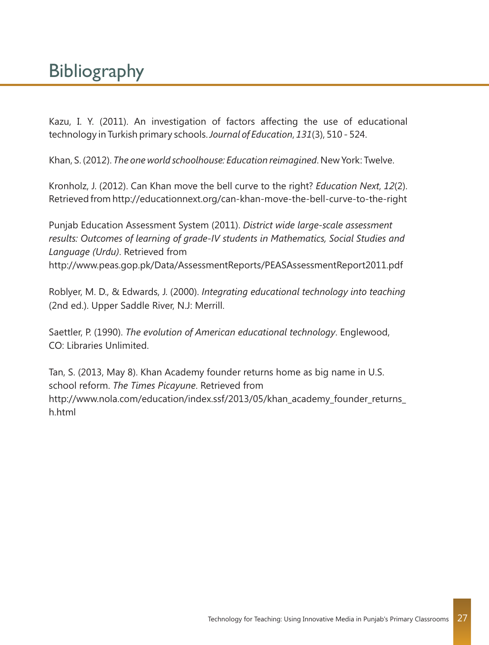# **Bibliography**

Kazu, I. Y. (2011). An investigation of factors affecting the use of educational technology in Turkish primary schools. *Journal of Education*, *131*(3), 510 - 524.

Khan, S. (2012). *The one world schoolhouse: Education reimagined*. New York: Twelve.

Kronholz, J. (2012). Can Khan move the bell curve to the right? *Education Next*, *12*(2). Retrieved from http://educationnext.org/can-khan-move-the-bell-curve-to-the-right

Punjab Education Assessment System (2011). *District wide large-scale assessment results: Outcomes of learning of grade-IV students in Mathematics, Social Studies and Language (Urdu)*. Retrieved from http://www.peas.gop.pk/Data/AssessmentReports/PEASAssessmentReport2011.pdf

Roblyer, M. D., & Edwards, J. (2000). *Integrating educational technology into teaching*  (2nd ed.). Upper Saddle River, N.J: Merrill.

Saettler, P. (1990). *The evolution of American educational technology*. Englewood, CO: Libraries Unlimited.

Tan, S. (2013, May 8). Khan Academy founder returns home as big name in U.S. school reform. *The Times Picayune*. Retrieved from http://www.nola.com/education/index.ssf/2013/05/khan\_academy\_founder\_returns h.html